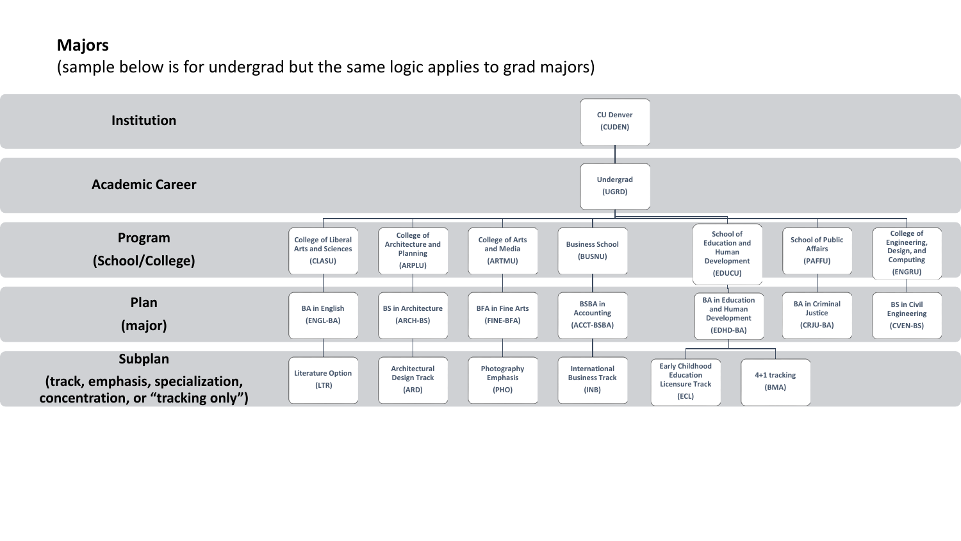## **Majors**

(sample below is for undergrad but the same logic applies to grad majors)

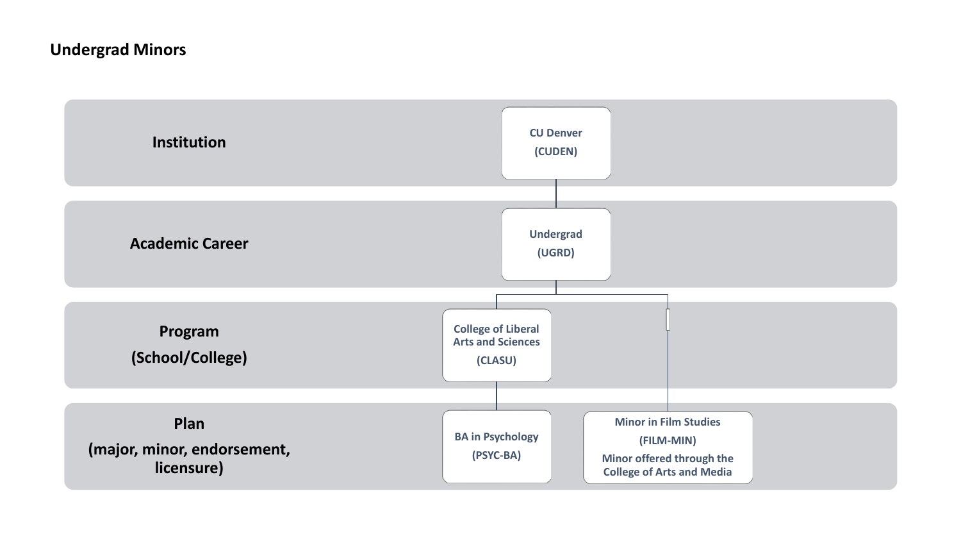## **Undergrad Minors**

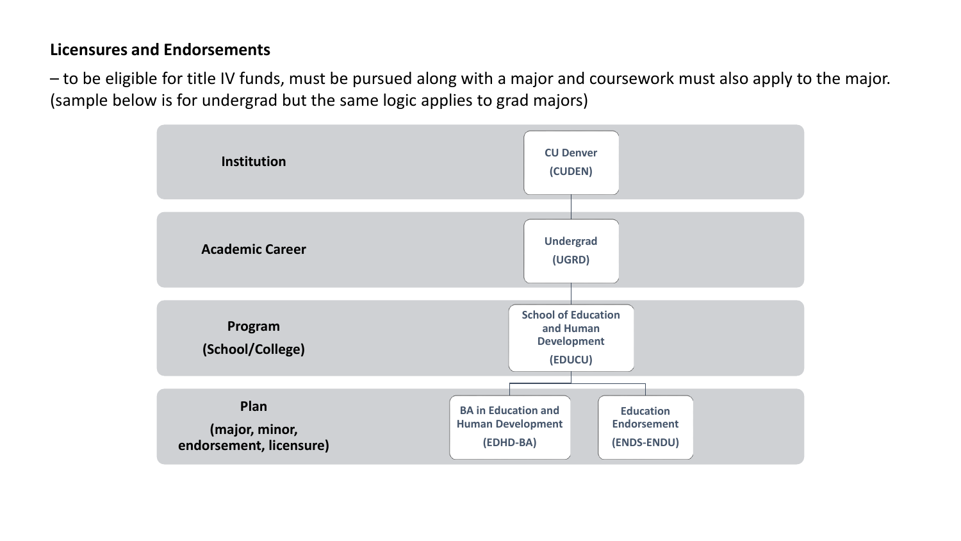## **Licensures and Endorsements**

– to be eligible for title IV funds, must be pursued along with a major and coursework must also apply to the major. (sample below is for undergrad but the same logic applies to grad majors)